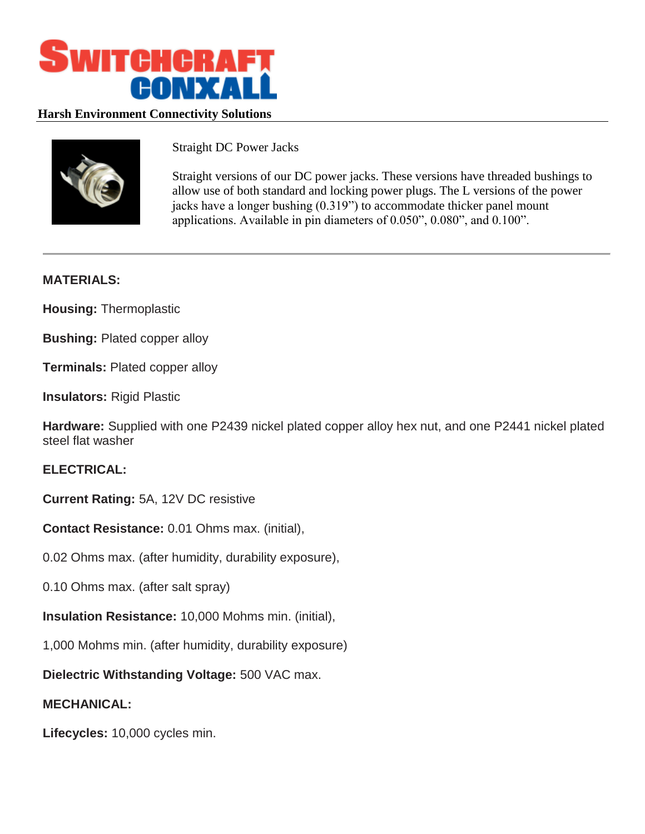

## **Harsh Environment Connectivity Solutions**



Straight DC Power Jacks

Straight versions of our DC power jacks. These versions have threaded bushings to allow use of both standard and locking power plugs. The L versions of the power jacks have a longer bushing (0.319") to accommodate thicker panel mount applications. Available in pin diameters of 0.050", 0.080", and 0.100".

## **MATERIALS:**

**Housing:** Thermoplastic

**Bushing:** Plated copper alloy

**Terminals:** Plated copper alloy

**Insulators:** Rigid Plastic

**Hardware:** Supplied with one P2439 nickel plated copper alloy hex nut, and one P2441 nickel plated steel flat washer

## **ELECTRICAL:**

**Current Rating:** 5A, 12V DC resistive

**Contact Resistance:** 0.01 Ohms max. (initial),

0.02 Ohms max. (after humidity, durability exposure),

0.10 Ohms max. (after salt spray)

**Insulation Resistance:** 10,000 Mohms min. (initial),

1,000 Mohms min. (after humidity, durability exposure)

**Dielectric Withstanding Voltage:** 500 VAC max.

## **MECHANICAL:**

**Lifecycles:** 10,000 cycles min.